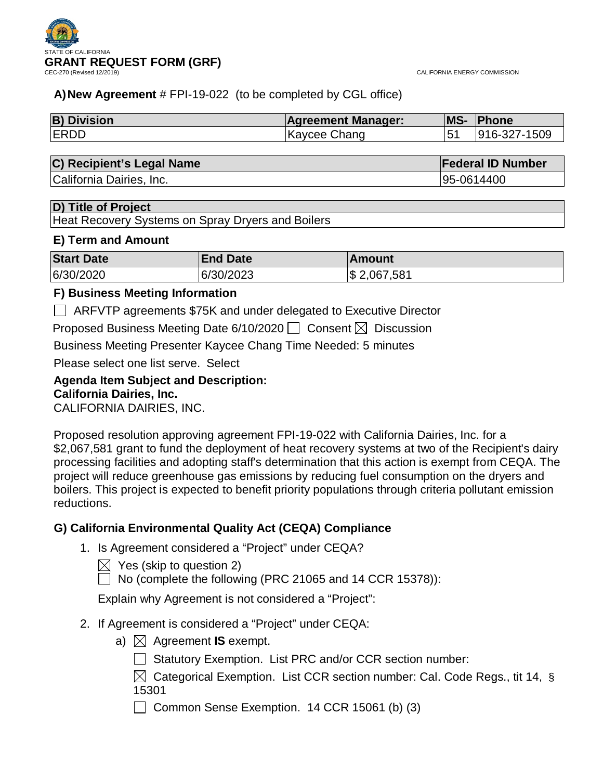

CALIFORNIA ENERGY COMMISSION

# **A)New Agreement** # FPI-19-022 (to be completed by CGL office)

| <b>B) Division</b> | <b>Agreement Manager:</b> | <b>MS-</b> | Phone        |
|--------------------|---------------------------|------------|--------------|
| <b>ERDD</b>        | Kaycee Chang              |            | 916-327-1509 |

# **C) Recipient's Legal Name Federal ID Number**

California Dairies, Inc. **95-0614400** California Dairies, Inc.

# **D) Title of Project**

Heat Recovery Systems on Spray Dryers and Boilers

# **E) Term and Amount**

| <b>Start Date</b> | <b>End Date</b> | ∣Amount      |
|-------------------|-----------------|--------------|
| 6/30/2020         | 6/30/2023       | \$ 2,067,581 |

# **F) Business Meeting Information**

ARFVTP agreements \$75K and under delegated to Executive Director

Proposed Business Meeting Date 6/10/2020  $\Box$  Consent  $\boxtimes$  Discussion

Business Meeting Presenter Kaycee Chang Time Needed: 5 minutes

Please select one list serve. Select

# **Agenda Item Subject and Description: California Dairies, Inc.**

CALIFORNIA DAIRIES, INC.

Proposed resolution approving agreement FPI-19-022 with California Dairies, Inc. for a \$2,067,581 grant to fund the deployment of heat recovery systems at two of the Recipient's dairy processing facilities and adopting staff's determination that this action is exempt from CEQA. The project will reduce greenhouse gas emissions by reducing fuel consumption on the dryers and boilers. This project is expected to benefit priority populations through criteria pollutant emission reductions.

# **G) California Environmental Quality Act (CEQA) Compliance**

- 1. Is Agreement considered a "Project" under CEQA?
	- $\boxtimes$  Yes (skip to question 2)
	- $\Box$  No (complete the following (PRC 21065 and 14 CCR 15378)):

Explain why Agreement is not considered a "Project":

- 2. If Agreement is considered a "Project" under CEQA:
	- a)  $\boxtimes$  Agreement **IS** exempt.
		- Statutory Exemption. List PRC and/or CCR section number:
		- $\boxtimes$  Categorical Exemption. List CCR section number: Cal. Code Regs., tit 14, § 15301

 $\Box$  Common Sense Exemption. 14 CCR 15061 (b) (3)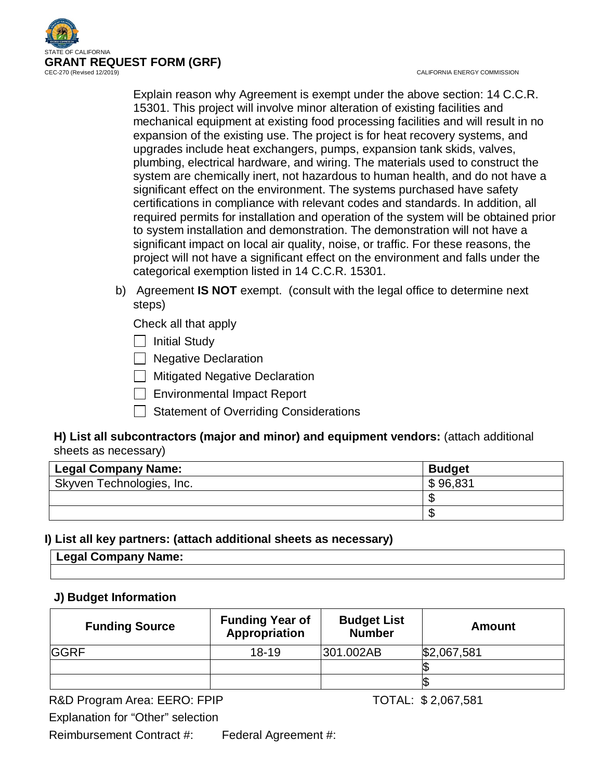

CALIFORNIA ENERGY COMMISSION

Explain reason why Agreement is exempt under the above section: 14 C.C.R. 15301. This project will involve minor alteration of existing facilities and mechanical equipment at existing food processing facilities and will result in no expansion of the existing use. The project is for heat recovery systems, and upgrades include heat exchangers, pumps, expansion tank skids, valves, plumbing, electrical hardware, and wiring. The materials used to construct the system are chemically inert, not hazardous to human health, and do not have a significant effect on the environment. The systems purchased have safety certifications in compliance with relevant codes and standards. In addition, all required permits for installation and operation of the system will be obtained prior to system installation and demonstration. The demonstration will not have a significant impact on local air quality, noise, or traffic. For these reasons, the project will not have a significant effect on the environment and falls under the categorical exemption listed in 14 C.C.R. 15301.

b) Agreement **IS NOT** exempt. (consult with the legal office to determine next steps)

Check all that apply

 $\Box$  Initial Study

 $\Box$  Negative Declaration

 $\Box$  Mitigated Negative Declaration

Environmental Impact Report

Statement of Overriding Considerations

# **H) List all subcontractors (major and minor) and equipment vendors:** (attach additional sheets as necessary)

| <b>Legal Company Name:</b> | <b>Budget</b> |
|----------------------------|---------------|
| Skyven Technologies, Inc.  | \$96,831      |
|                            |               |
|                            |               |

# **I) List all key partners: (attach additional sheets as necessary)**

| <b>Legal Communist</b><br>ame.<br>—∽yuı |  |  |
|-----------------------------------------|--|--|
|                                         |  |  |

# **J) Budget Information**

| <b>Funding Source</b> | <b>Funding Year of</b><br><b>Appropriation</b> | <b>Budget List</b><br><b>Number</b> | Amount      |
|-----------------------|------------------------------------------------|-------------------------------------|-------------|
| <b>IGGRF</b>          | $18 - 19$                                      | 301.002AB                           | \$2,067,581 |
|                       |                                                |                                     |             |
|                       |                                                |                                     |             |

R&D Program Area: EERO: FPIP TOTAL: \$2,067,581

Explanation for "Other" selection

Reimbursement Contract #: Federal Agreement #: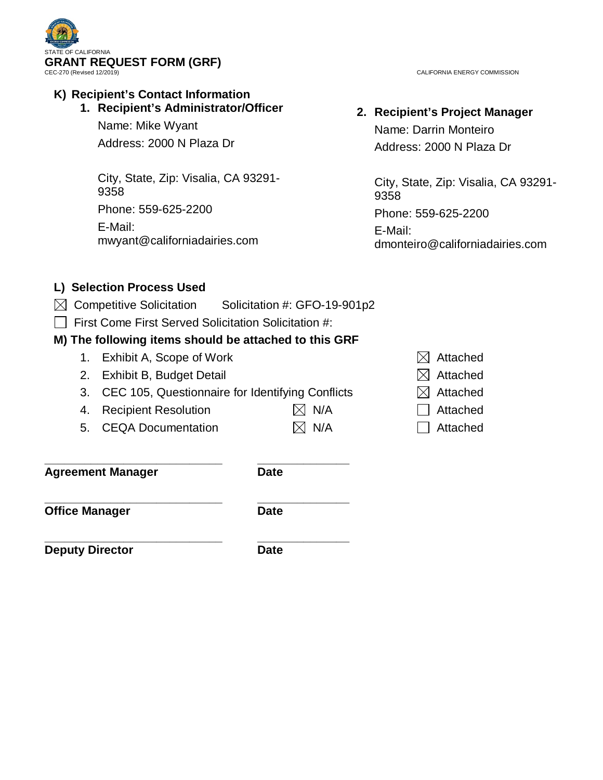

# **K) Recipient's Contact Information**

# **1. Recipient's Administrator/Officer**

Name: Mike Wyant Address: 2000 N Plaza Dr

City, State, Zip: Visalia, CA 93291- 9358 Phone: 559-625-2200 E-Mail: mwyant@californiadairies.com

CALIFORNIA ENERGY COMMISSION

# **2. Recipient's Project Manager** Name: Darrin Monteiro

Address: 2000 N Plaza Dr

City, State, Zip: Visalia, CA 93291- 9358 Phone: 559-625-2200 E-Mail: dmonteiro@californiadairies.com

# **L) Selection Process Used**

- $\boxtimes$  Competitive Solicitation Solicitation #: GFO-19-901p2
- $\Box$  First Come First Served Solicitation Solicitation #:

# **M) The following items should be attached to this GRF**

- 1. Exhibit A, Scope of Work  $\boxtimes$  Attached
- 2. Exhibit B, Budget Detail  $\boxtimes$  Attached
- 3. CEC 105, Questionnaire for Identifying Conflicts  $\boxtimes$  Attached
- 4. Recipient Resolution  $\boxtimes$  N/A  $\Box$  Attached
- 5. CEQA Documentation  $\boxtimes$  N/A  $\Box$  Attached

**\_\_\_\_\_\_\_\_\_\_\_\_\_\_\_\_\_\_\_\_\_\_\_\_\_\_\_ \_\_\_\_\_\_\_\_\_\_\_\_\_\_ Agreement Manager Date**

**\_\_\_\_\_\_\_\_\_\_\_\_\_\_\_\_\_\_\_\_\_\_\_\_\_\_\_ \_\_\_\_\_\_\_\_\_\_\_\_\_\_ Office Manager Date** 

**\_\_\_\_\_\_\_\_\_\_\_\_\_\_\_\_\_\_\_\_\_\_\_\_\_\_\_ \_\_\_\_\_\_\_\_\_\_\_\_\_\_ Deputy Director Date** 

- 
- 
- 
- 
-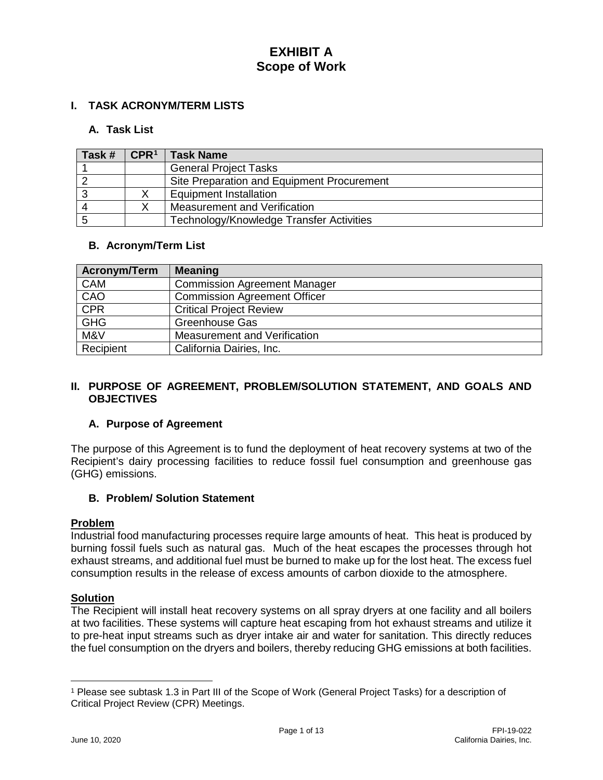# **I. TASK ACRONYM/TERM LISTS**

# **A. Task List**

| Task # | $\mathsf{CPR}^1$ | <b>Task Name</b>                           |
|--------|------------------|--------------------------------------------|
|        |                  | <b>General Project Tasks</b>               |
|        |                  | Site Preparation and Equipment Procurement |
|        |                  | <b>Equipment Installation</b>              |
|        |                  | <b>Measurement and Verification</b>        |
|        |                  | Technology/Knowledge Transfer Activities   |

#### **B. Acronym/Term List**

| Acronym/Term | <b>Meaning</b>                      |
|--------------|-------------------------------------|
| <b>CAM</b>   | <b>Commission Agreement Manager</b> |
| CAO          | <b>Commission Agreement Officer</b> |
| <b>CPR</b>   | <b>Critical Project Review</b>      |
| <b>GHG</b>   | <b>Greenhouse Gas</b>               |
| M&V          | Measurement and Verification        |
| Recipient    | California Dairies, Inc.            |

#### **II. PURPOSE OF AGREEMENT, PROBLEM/SOLUTION STATEMENT, AND GOALS AND OBJECTIVES**

# **A. Purpose of Agreement**

The purpose of this Agreement is to fund the deployment of heat recovery systems at two of the Recipient's dairy processing facilities to reduce fossil fuel consumption and greenhouse gas (GHG) emissions.

# **B. Problem/ Solution Statement**

#### **Problem**

Industrial food manufacturing processes require large amounts of heat. This heat is produced by burning fossil fuels such as natural gas. Much of the heat escapes the processes through hot exhaust streams, and additional fuel must be burned to make up for the lost heat. The excess fuel consumption results in the release of excess amounts of carbon dioxide to the atmosphere.

### **Solution**

The Recipient will install heat recovery systems on all spray dryers at one facility and all boilers at two facilities. These systems will capture heat escaping from hot exhaust streams and utilize it to pre-heat input streams such as dryer intake air and water for sanitation. This directly reduces the fuel consumption on the dryers and boilers, thereby reducing GHG emissions at both facilities.

 $\overline{a}$ 

<span id="page-3-0"></span><sup>1</sup> Please see subtask 1.3 in Part III of the Scope of Work (General Project Tasks) for a description of Critical Project Review (CPR) Meetings.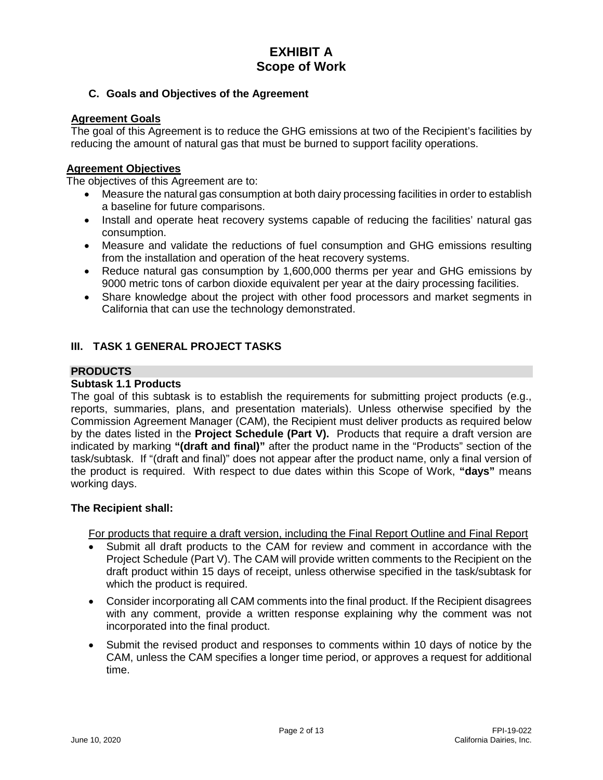# **C. Goals and Objectives of the Agreement**

### **Agreement Goals**

The goal of this Agreement is to reduce the GHG emissions at two of the Recipient's facilities by reducing the amount of natural gas that must be burned to support facility operations.

#### **Agreement Objectives**

The objectives of this Agreement are to:

- Measure the natural gas consumption at both dairy processing facilities in order to establish a baseline for future comparisons.
- Install and operate heat recovery systems capable of reducing the facilities' natural gas consumption.
- Measure and validate the reductions of fuel consumption and GHG emissions resulting from the installation and operation of the heat recovery systems.
- Reduce natural gas consumption by 1,600,000 therms per year and GHG emissions by 9000 metric tons of carbon dioxide equivalent per year at the dairy processing facilities.
- Share knowledge about the project with other food processors and market segments in California that can use the technology demonstrated.

# **III. TASK 1 GENERAL PROJECT TASKS**

#### **PRODUCTS**

#### **Subtask 1.1 Products**

The goal of this subtask is to establish the requirements for submitting project products (e.g., reports, summaries, plans, and presentation materials). Unless otherwise specified by the Commission Agreement Manager (CAM), the Recipient must deliver products as required below by the dates listed in the **Project Schedule (Part V).** Products that require a draft version are indicated by marking **"(draft and final)"** after the product name in the "Products" section of the task/subtask. If "(draft and final)" does not appear after the product name, only a final version of the product is required. With respect to due dates within this Scope of Work, **"days"** means working days.

#### **The Recipient shall:**

For products that require a draft version, including the Final Report Outline and Final Report

- Submit all draft products to the CAM for review and comment in accordance with the Project Schedule (Part V). The CAM will provide written comments to the Recipient on the draft product within 15 days of receipt, unless otherwise specified in the task/subtask for which the product is required.
- Consider incorporating all CAM comments into the final product. If the Recipient disagrees with any comment, provide a written response explaining why the comment was not incorporated into the final product.
- Submit the revised product and responses to comments within 10 days of notice by the CAM, unless the CAM specifies a longer time period, or approves a request for additional time.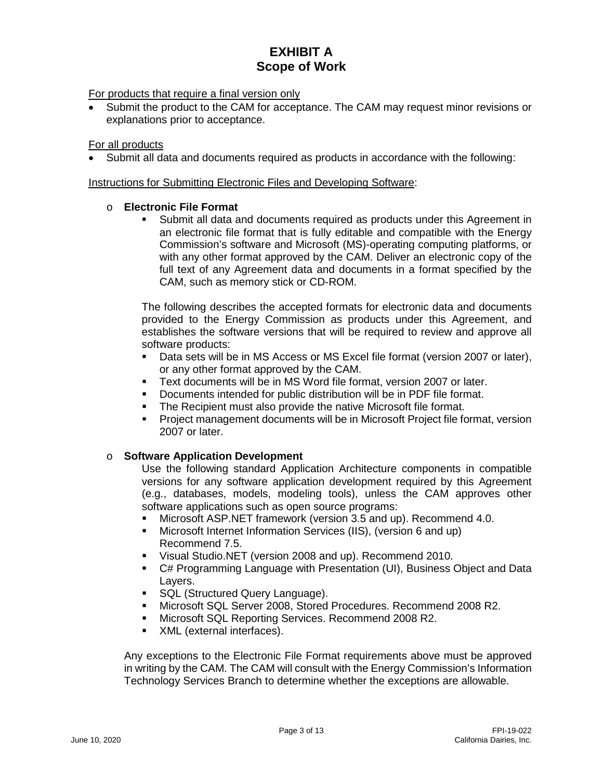#### For products that require a final version only

• Submit the product to the CAM for acceptance. The CAM may request minor revisions or explanations prior to acceptance.

#### For all products

• Submit all data and documents required as products in accordance with the following:

#### Instructions for Submitting Electronic Files and Developing Software:

#### o **Electronic File Format**

 Submit all data and documents required as products under this Agreement in an electronic file format that is fully editable and compatible with the Energy Commission's software and Microsoft (MS)-operating computing platforms, or with any other format approved by the CAM. Deliver an electronic copy of the full text of any Agreement data and documents in a format specified by the CAM, such as memory stick or CD-ROM.

The following describes the accepted formats for electronic data and documents provided to the Energy Commission as products under this Agreement, and establishes the software versions that will be required to review and approve all software products:

- Data sets will be in MS Access or MS Excel file format (version 2007 or later), or any other format approved by the CAM.
- Text documents will be in MS Word file format, version 2007 or later.
- Documents intended for public distribution will be in PDF file format.
- The Recipient must also provide the native Microsoft file format.
- **Project management documents will be in Microsoft Project file format, version** 2007 or later.

#### o **Software Application Development**

Use the following standard Application Architecture components in compatible versions for any software application development required by this Agreement (e.g., databases, models, modeling tools), unless the CAM approves other software applications such as open source programs:

- Microsoft ASP.NET framework (version 3.5 and up). Recommend 4.0.
- Microsoft Internet Information Services (IIS), (version 6 and up) Recommend 7.5.
- Visual Studio.NET (version 2008 and up). Recommend 2010.
- C# Programming Language with Presentation (UI), Business Object and Data Layers.
- **SQL (Structured Query Language).**
- Microsoft SQL Server 2008, Stored Procedures. Recommend 2008 R2.
- **Microsoft SQL Reporting Services. Recommend 2008 R2.**
- **XML** (external interfaces).

Any exceptions to the Electronic File Format requirements above must be approved in writing by the CAM. The CAM will consult with the Energy Commission's Information Technology Services Branch to determine whether the exceptions are allowable.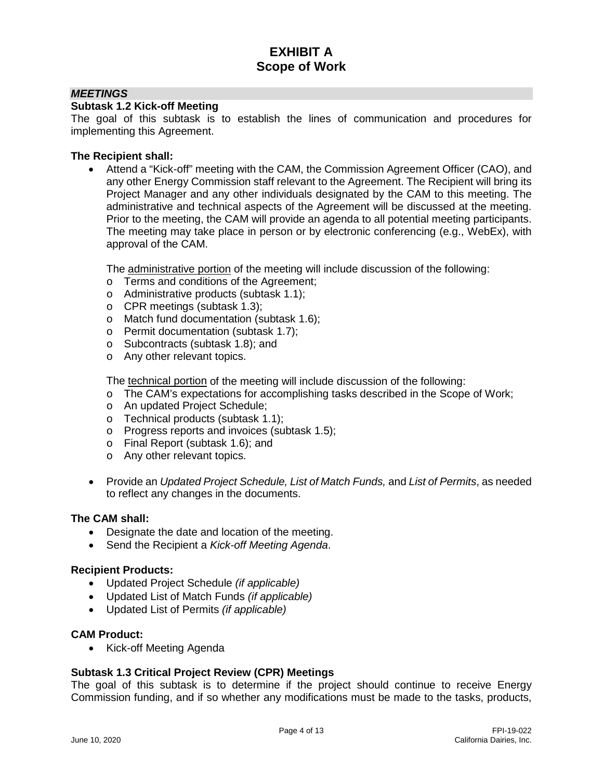#### *MEETINGS*

#### **Subtask 1.2 Kick-off Meeting**

The goal of this subtask is to establish the lines of communication and procedures for implementing this Agreement.

#### **The Recipient shall:**

• Attend a "Kick-off" meeting with the CAM, the Commission Agreement Officer (CAO), and any other Energy Commission staff relevant to the Agreement. The Recipient will bring its Project Manager and any other individuals designated by the CAM to this meeting. The administrative and technical aspects of the Agreement will be discussed at the meeting. Prior to the meeting, the CAM will provide an agenda to all potential meeting participants. The meeting may take place in person or by electronic conferencing (e.g., WebEx), with approval of the CAM.

The administrative portion of the meeting will include discussion of the following:

- o Terms and conditions of the Agreement;
- o Administrative products (subtask 1.1);
- o CPR meetings (subtask 1.3);
- o Match fund documentation (subtask 1.6);
- o Permit documentation (subtask 1.7);
- o Subcontracts (subtask 1.8); and
- o Any other relevant topics.

The technical portion of the meeting will include discussion of the following:

- o The CAM's expectations for accomplishing tasks described in the Scope of Work;
- o An updated Project Schedule;
- o Technical products (subtask 1.1);
- o Progress reports and invoices (subtask 1.5);
- o Final Report (subtask 1.6); and
- o Any other relevant topics.
- Provide an *Updated Project Schedule, List of Match Funds,* and *List of Permits*, as needed to reflect any changes in the documents.

#### **The CAM shall:**

- Designate the date and location of the meeting.
- Send the Recipient a *Kick-off Meeting Agenda*.

#### **Recipient Products:**

- Updated Project Schedule *(if applicable)*
- Updated List of Match Funds *(if applicable)*
- Updated List of Permits *(if applicable)*

#### **CAM Product:**

• Kick-off Meeting Agenda

#### **Subtask 1.3 Critical Project Review (CPR) Meetings**

The goal of this subtask is to determine if the project should continue to receive Energy Commission funding, and if so whether any modifications must be made to the tasks, products,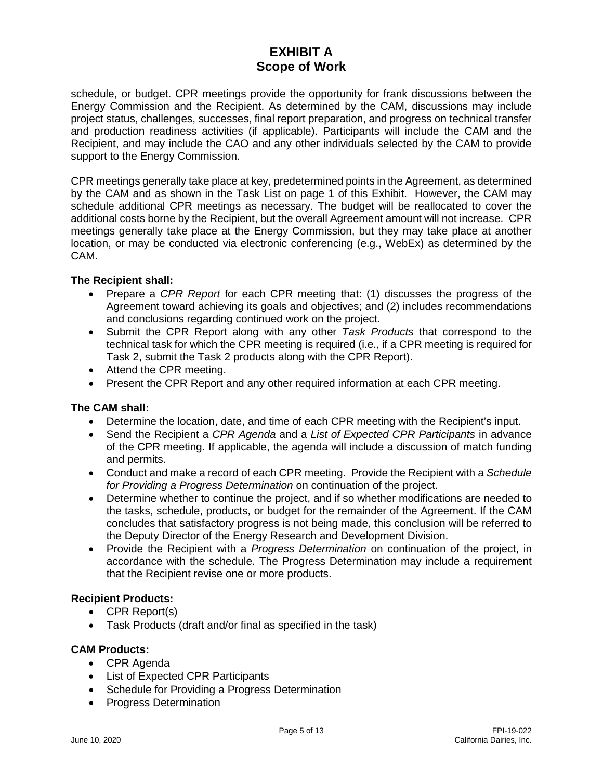schedule, or budget. CPR meetings provide the opportunity for frank discussions between the Energy Commission and the Recipient. As determined by the CAM, discussions may include project status, challenges, successes, final report preparation, and progress on technical transfer and production readiness activities (if applicable). Participants will include the CAM and the Recipient, and may include the CAO and any other individuals selected by the CAM to provide support to the Energy Commission.

CPR meetings generally take place at key, predetermined points in the Agreement, as determined by the CAM and as shown in the Task List on page 1 of this Exhibit. However, the CAM may schedule additional CPR meetings as necessary. The budget will be reallocated to cover the additional costs borne by the Recipient, but the overall Agreement amount will not increase. CPR meetings generally take place at the Energy Commission, but they may take place at another location, or may be conducted via electronic conferencing (e.g., WebEx) as determined by the CAM.

#### **The Recipient shall:**

- Prepare a *CPR Report* for each CPR meeting that: (1) discusses the progress of the Agreement toward achieving its goals and objectives; and (2) includes recommendations and conclusions regarding continued work on the project.
- Submit the CPR Report along with any other *Task Products* that correspond to the technical task for which the CPR meeting is required (i.e., if a CPR meeting is required for Task 2, submit the Task 2 products along with the CPR Report).
- Attend the CPR meeting.
- Present the CPR Report and any other required information at each CPR meeting.

#### **The CAM shall:**

- Determine the location, date, and time of each CPR meeting with the Recipient's input.
- Send the Recipient a *CPR Agenda* and a *List of Expected CPR Participants* in advance of the CPR meeting. If applicable, the agenda will include a discussion of match funding and permits.
- Conduct and make a record of each CPR meeting. Provide the Recipient with a *Schedule for Providing a Progress Determination* on continuation of the project.
- Determine whether to continue the project, and if so whether modifications are needed to the tasks, schedule, products, or budget for the remainder of the Agreement. If the CAM concludes that satisfactory progress is not being made, this conclusion will be referred to the Deputy Director of the Energy Research and Development Division.
- Provide the Recipient with a *Progress Determination* on continuation of the project, in accordance with the schedule. The Progress Determination may include a requirement that the Recipient revise one or more products.

#### **Recipient Products:**

- CPR Report(s)
- Task Products (draft and/or final as specified in the task)

#### **CAM Products:**

- CPR Agenda
- List of Expected CPR Participants
- Schedule for Providing a Progress Determination
- Progress Determination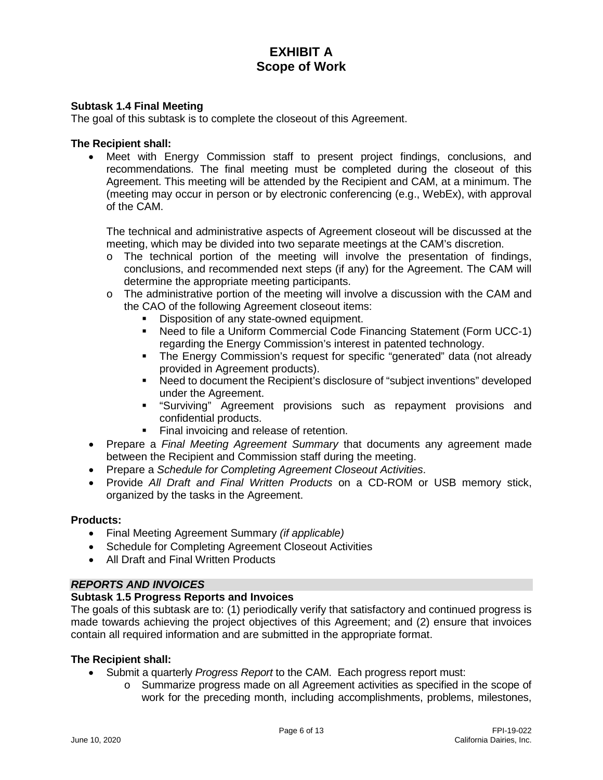### **Subtask 1.4 Final Meeting**

The goal of this subtask is to complete the closeout of this Agreement.

#### **The Recipient shall:**

Meet with Energy Commission staff to present project findings, conclusions, and recommendations. The final meeting must be completed during the closeout of this Agreement. This meeting will be attended by the Recipient and CAM, at a minimum. The (meeting may occur in person or by electronic conferencing (e.g., WebEx), with approval of the CAM.

The technical and administrative aspects of Agreement closeout will be discussed at the meeting, which may be divided into two separate meetings at the CAM's discretion.

- o The technical portion of the meeting will involve the presentation of findings, conclusions, and recommended next steps (if any) for the Agreement. The CAM will determine the appropriate meeting participants.
- o The administrative portion of the meeting will involve a discussion with the CAM and the CAO of the following Agreement closeout items:
	- Disposition of any state-owned equipment.
	- Need to file a Uniform Commercial Code Financing Statement (Form UCC-1) regarding the Energy Commission's interest in patented technology.
	- The Energy Commission's request for specific "generated" data (not already provided in Agreement products).
	- Need to document the Recipient's disclosure of "subject inventions" developed under the Agreement.
	- "Surviving" Agreement provisions such as repayment provisions and confidential products.
	- Final invoicing and release of retention.
- Prepare a *Final Meeting Agreement Summary* that documents any agreement made between the Recipient and Commission staff during the meeting.
- Prepare a *Schedule for Completing Agreement Closeout Activities*.
- Provide *All Draft and Final Written Products* on a CD-ROM or USB memory stick, organized by the tasks in the Agreement.

#### **Products:**

- Final Meeting Agreement Summary *(if applicable)*
- Schedule for Completing Agreement Closeout Activities
- All Draft and Final Written Products

#### *REPORTS AND INVOICES*

#### **Subtask 1.5 Progress Reports and Invoices**

The goals of this subtask are to: (1) periodically verify that satisfactory and continued progress is made towards achieving the project objectives of this Agreement; and (2) ensure that invoices contain all required information and are submitted in the appropriate format.

- Submit a quarterly *Progress Report* to the CAM. Each progress report must:
	- o Summarize progress made on all Agreement activities as specified in the scope of work for the preceding month, including accomplishments, problems, milestones,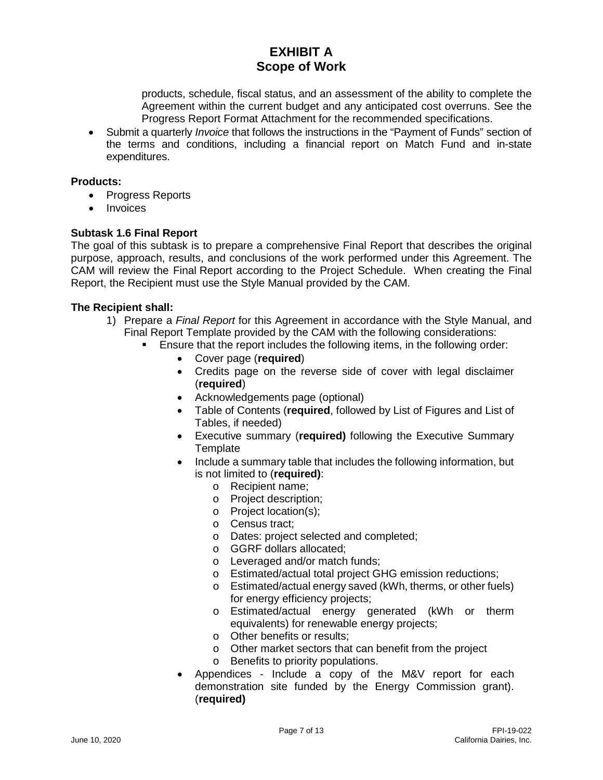products, schedule, fiscal status, and an assessment of the ability to complete the Agreement within the current budget and any anticipated cost overruns. See the Progress Report Format Attachment for the recommended specifications.

• Submit a quarterly *Invoice* that follows the instructions in the "Payment of Funds" section of the terms and conditions, including a financial report on Match Fund and in-state expenditures.

### **Products:**

- Progress Reports
- **Invoices**

#### **Subtask 1.6 Final Report**

The goal of this subtask is to prepare a comprehensive Final Report that describes the original purpose, approach, results, and conclusions of the work performed under this Agreement. The CAM will review the Final Report according to the Project Schedule. When creating the Final Report, the Recipient must use the Style Manual provided by the CAM.

- 1) Prepare a *Final Report* for this Agreement in accordance with the Style Manual, and Final Report Template provided by the CAM with the following considerations:
	- Ensure that the report includes the following items, in the following order:
		- Cover page (**required**)
		- Credits page on the reverse side of cover with legal disclaimer (**required**)
		- Acknowledgements page (optional)
		- Table of Contents (**required**, followed by List of Figures and List of Tables, if needed)
		- Executive summary (**required)** following the Executive Summary **Template**
		- Include a summary table that includes the following information, but is not limited to (**required)**:
			- o Recipient name;
			- o Project description;
			- o Project location(s);
			- o Census tract;
			- o Dates: project selected and completed;
			- o GGRF dollars allocated;
			- o Leveraged and/or match funds;
			- o Estimated/actual total project GHG emission reductions;
			- o Estimated/actual energy saved (kWh, therms, or other fuels) for energy efficiency projects;
			- o Estimated/actual energy generated (kWh or therm equivalents) for renewable energy projects;
			- o Other benefits or results;
			- o Other market sectors that can benefit from the project
			- o Benefits to priority populations.
		- Appendices Include a copy of the M&V report for each demonstration site funded by the Energy Commission grant). (**required)**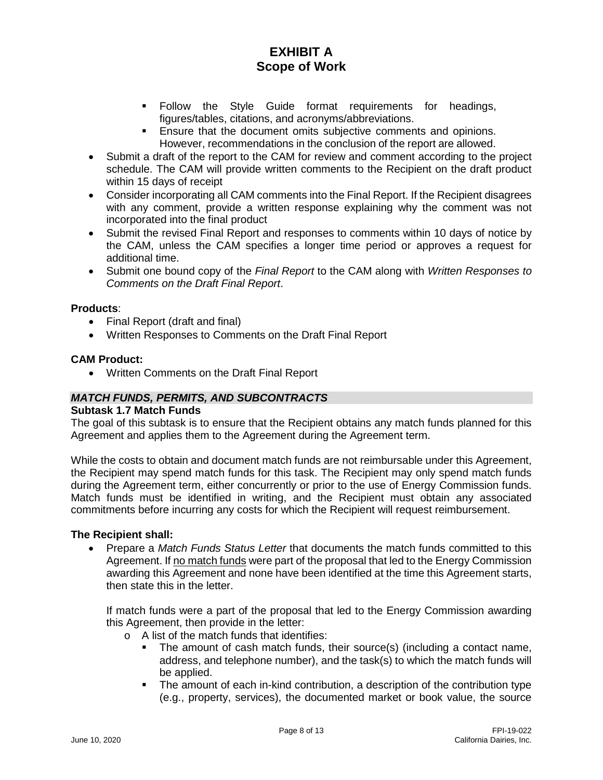- Follow the Style Guide format requirements for headings, figures/tables, citations, and acronyms/abbreviations.
- **Ensure that the document omits subjective comments and opinions.** However, recommendations in the conclusion of the report are allowed.
- Submit a draft of the report to the CAM for review and comment according to the project schedule. The CAM will provide written comments to the Recipient on the draft product within 15 days of receipt
- Consider incorporating all CAM comments into the Final Report. If the Recipient disagrees with any comment, provide a written response explaining why the comment was not incorporated into the final product
- Submit the revised Final Report and responses to comments within 10 days of notice by the CAM, unless the CAM specifies a longer time period or approves a request for additional time.
- Submit one bound copy of the *Final Report* to the CAM along with *Written Responses to Comments on the Draft Final Report*.

#### **Products**:

- Final Report (draft and final)
- Written Responses to Comments on the Draft Final Report

#### **CAM Product:**

• Written Comments on the Draft Final Report

#### *MATCH FUNDS, PERMITS, AND SUBCONTRACTS*

#### **Subtask 1.7 Match Funds**

The goal of this subtask is to ensure that the Recipient obtains any match funds planned for this Agreement and applies them to the Agreement during the Agreement term.

While the costs to obtain and document match funds are not reimbursable under this Agreement, the Recipient may spend match funds for this task. The Recipient may only spend match funds during the Agreement term, either concurrently or prior to the use of Energy Commission funds. Match funds must be identified in writing, and the Recipient must obtain any associated commitments before incurring any costs for which the Recipient will request reimbursement.

#### **The Recipient shall:**

• Prepare a *Match Funds Status Letter* that documents the match funds committed to this Agreement. If no match funds were part of the proposal that led to the Energy Commission awarding this Agreement and none have been identified at the time this Agreement starts, then state this in the letter.

If match funds were a part of the proposal that led to the Energy Commission awarding this Agreement, then provide in the letter:

- o A list of the match funds that identifies:
	- The amount of cash match funds, their source(s) (including a contact name, address, and telephone number), and the task(s) to which the match funds will be applied.
	- The amount of each in-kind contribution, a description of the contribution type (e.g., property, services), the documented market or book value, the source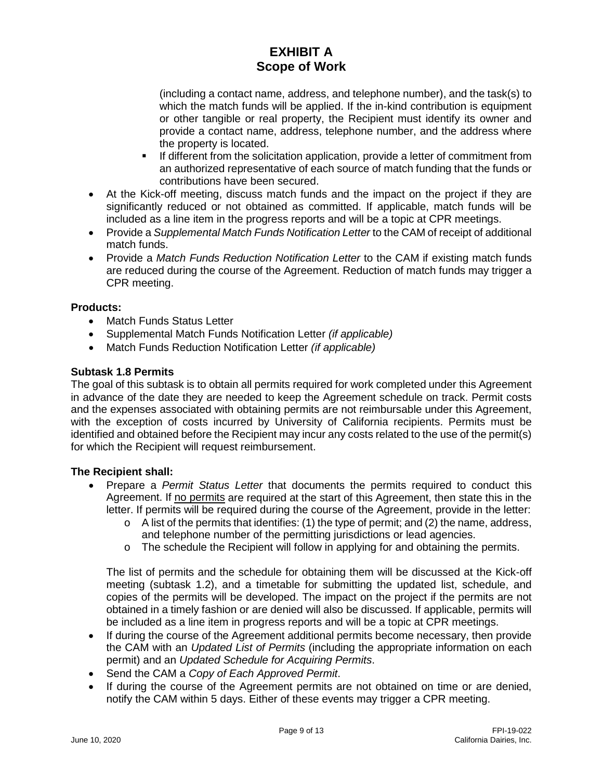(including a contact name, address, and telephone number), and the task(s) to which the match funds will be applied. If the in-kind contribution is equipment or other tangible or real property, the Recipient must identify its owner and provide a contact name, address, telephone number, and the address where the property is located.

- If different from the solicitation application, provide a letter of commitment from an authorized representative of each source of match funding that the funds or contributions have been secured.
- At the Kick-off meeting, discuss match funds and the impact on the project if they are significantly reduced or not obtained as committed. If applicable, match funds will be included as a line item in the progress reports and will be a topic at CPR meetings.
- Provide a *Supplemental Match Funds Notification Letter* to the CAM of receipt of additional match funds.
- Provide a *Match Funds Reduction Notification Letter* to the CAM if existing match funds are reduced during the course of the Agreement. Reduction of match funds may trigger a CPR meeting.

# **Products:**

- Match Funds Status Letter
- Supplemental Match Funds Notification Letter *(if applicable)*
- Match Funds Reduction Notification Letter *(if applicable)*

# **Subtask 1.8 Permits**

The goal of this subtask is to obtain all permits required for work completed under this Agreement in advance of the date they are needed to keep the Agreement schedule on track. Permit costs and the expenses associated with obtaining permits are not reimbursable under this Agreement, with the exception of costs incurred by University of California recipients. Permits must be identified and obtained before the Recipient may incur any costs related to the use of the permit(s) for which the Recipient will request reimbursement.

# **The Recipient shall:**

- Prepare a *Permit Status Letter* that documents the permits required to conduct this Agreement. If no permits are required at the start of this Agreement, then state this in the letter. If permits will be required during the course of the Agreement, provide in the letter:
	- $\circ$  A list of the permits that identifies: (1) the type of permit; and (2) the name, address, and telephone number of the permitting jurisdictions or lead agencies.
	- o The schedule the Recipient will follow in applying for and obtaining the permits.

The list of permits and the schedule for obtaining them will be discussed at the Kick-off meeting (subtask 1.2), and a timetable for submitting the updated list, schedule, and copies of the permits will be developed. The impact on the project if the permits are not obtained in a timely fashion or are denied will also be discussed. If applicable, permits will be included as a line item in progress reports and will be a topic at CPR meetings.

- If during the course of the Agreement additional permits become necessary, then provide the CAM with an *Updated List of Permits* (including the appropriate information on each permit) and an *Updated Schedule for Acquiring Permits*.
- Send the CAM a *Copy of Each Approved Permit*.
- If during the course of the Agreement permits are not obtained on time or are denied, notify the CAM within 5 days. Either of these events may trigger a CPR meeting.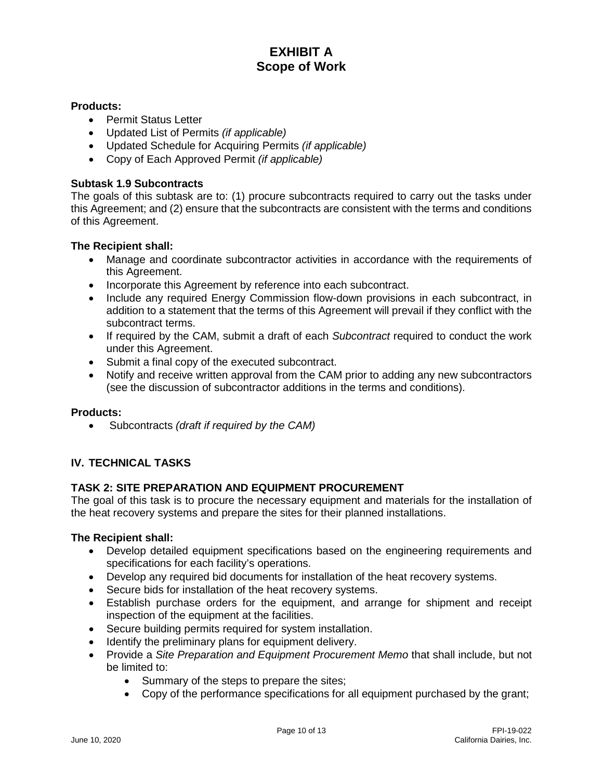#### **Products:**

- Permit Status Letter
- Updated List of Permits *(if applicable)*
- Updated Schedule for Acquiring Permits *(if applicable)*
- Copy of Each Approved Permit *(if applicable)*

### **Subtask 1.9 Subcontracts**

The goals of this subtask are to: (1) procure subcontracts required to carry out the tasks under this Agreement; and (2) ensure that the subcontracts are consistent with the terms and conditions of this Agreement.

#### **The Recipient shall:**

- Manage and coordinate subcontractor activities in accordance with the requirements of this Agreement.
- Incorporate this Agreement by reference into each subcontract.
- Include any required Energy Commission flow-down provisions in each subcontract, in addition to a statement that the terms of this Agreement will prevail if they conflict with the subcontract terms.
- If required by the CAM, submit a draft of each *Subcontract* required to conduct the work under this Agreement.
- Submit a final copy of the executed subcontract.
- Notify and receive written approval from the CAM prior to adding any new subcontractors (see the discussion of subcontractor additions in the terms and conditions).

### **Products:**

• Subcontracts *(draft if required by the CAM)*

# **IV. TECHNICAL TASKS**

# **TASK 2: SITE PREPARATION AND EQUIPMENT PROCUREMENT**

The goal of this task is to procure the necessary equipment and materials for the installation of the heat recovery systems and prepare the sites for their planned installations.

- Develop detailed equipment specifications based on the engineering requirements and specifications for each facility's operations.
- Develop any required bid documents for installation of the heat recovery systems.
- Secure bids for installation of the heat recovery systems.
- Establish purchase orders for the equipment, and arrange for shipment and receipt inspection of the equipment at the facilities.
- Secure building permits required for system installation.
- Identify the preliminary plans for equipment delivery.
- Provide a *Site Preparation and Equipment Procurement Memo* that shall include, but not be limited to:
	- Summary of the steps to prepare the sites;
	- Copy of the performance specifications for all equipment purchased by the grant;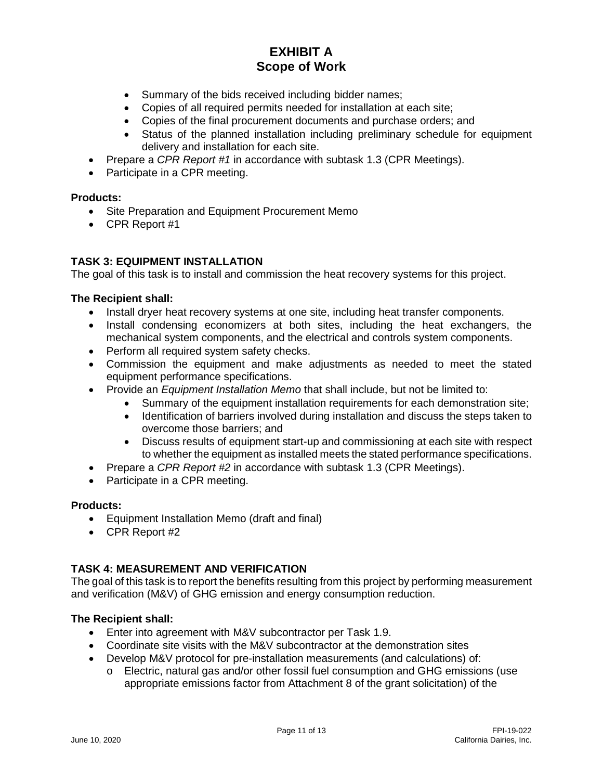- Summary of the bids received including bidder names;
- Copies of all required permits needed for installation at each site;
- Copies of the final procurement documents and purchase orders; and
- Status of the planned installation including preliminary schedule for equipment delivery and installation for each site.
- Prepare a *CPR Report #1* in accordance with subtask 1.3 (CPR Meetings).
- Participate in a CPR meeting.

#### **Products:**

- Site Preparation and Equipment Procurement Memo
- CPR Report #1

# **TASK 3: EQUIPMENT INSTALLATION**

The goal of this task is to install and commission the heat recovery systems for this project.

#### **The Recipient shall:**

- Install dryer heat recovery systems at one site, including heat transfer components.
- Install condensing economizers at both sites, including the heat exchangers, the mechanical system components, and the electrical and controls system components.
- Perform all required system safety checks.
- Commission the equipment and make adjustments as needed to meet the stated equipment performance specifications.
- Provide an *Equipment Installation Memo* that shall include, but not be limited to:
	- Summary of the equipment installation requirements for each demonstration site;
	- Identification of barriers involved during installation and discuss the steps taken to overcome those barriers; and
	- Discuss results of equipment start-up and commissioning at each site with respect to whether the equipment as installed meets the stated performance specifications.
- Prepare a *CPR Report #2* in accordance with subtask 1.3 (CPR Meetings).
- Participate in a CPR meeting.

#### **Products:**

- Equipment Installation Memo (draft and final)
- CPR Report #2

# **TASK 4: MEASUREMENT AND VERIFICATION**

The goal of this task is to report the benefits resulting from this project by performing measurement and verification (M&V) of GHG emission and energy consumption reduction.

- Enter into agreement with M&V subcontractor per Task 1.9.
- Coordinate site visits with the M&V subcontractor at the demonstration sites
- Develop M&V protocol for pre-installation measurements (and calculations) of:
	- o Electric, natural gas and/or other fossil fuel consumption and GHG emissions (use appropriate emissions factor from Attachment 8 of the grant solicitation) of the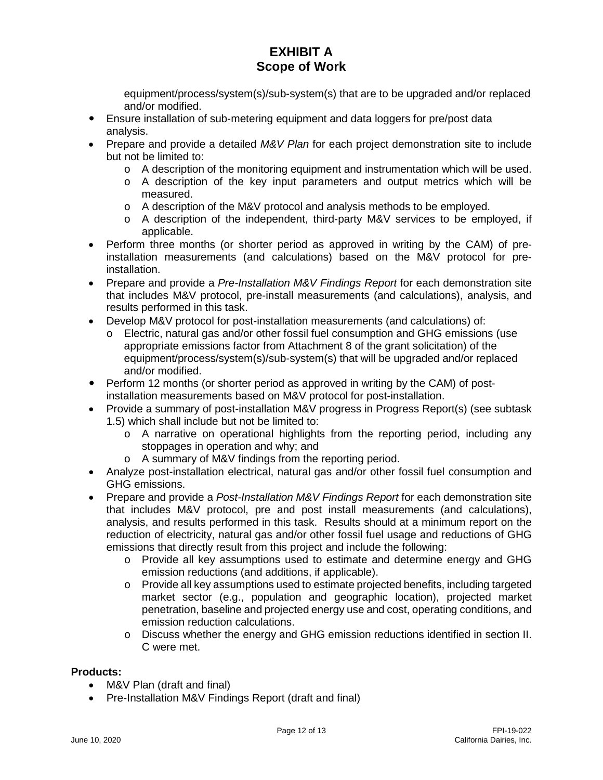equipment/process/system(s)/sub-system(s) that are to be upgraded and/or replaced and/or modified.

- Ensure installation of sub-metering equipment and data loggers for pre/post data analysis.
- Prepare and provide a detailed *M&V Plan* for each project demonstration site to include but not be limited to:
	- $\circ$  A description of the monitoring equipment and instrumentation which will be used.
	- o A description of the key input parameters and output metrics which will be measured.
	- o A description of the M&V protocol and analysis methods to be employed.
	- o A description of the independent, third-party M&V services to be employed, if applicable.
- Perform three months (or shorter period as approved in writing by the CAM) of preinstallation measurements (and calculations) based on the M&V protocol for preinstallation.
- Prepare and provide a *Pre-Installation M&V Findings Report* for each demonstration site that includes M&V protocol, pre-install measurements (and calculations), analysis, and results performed in this task.
- Develop M&V protocol for post-installation measurements (and calculations) of:
	- o Electric, natural gas and/or other fossil fuel consumption and GHG emissions (use appropriate emissions factor from Attachment 8 of the grant solicitation) of the equipment/process/system(s)/sub-system(s) that will be upgraded and/or replaced and/or modified.
- Perform 12 months (or shorter period as approved in writing by the CAM) of postinstallation measurements based on M&V protocol for post-installation.
- Provide a summary of post-installation M&V progress in Progress Report(s) (see subtask 1.5) which shall include but not be limited to:
	- o A narrative on operational highlights from the reporting period, including any stoppages in operation and why; and
	- o A summary of M&V findings from the reporting period.
- Analyze post-installation electrical, natural gas and/or other fossil fuel consumption and GHG emissions.
- Prepare and provide a *Post-Installation M&V Findings Report* for each demonstration site that includes M&V protocol, pre and post install measurements (and calculations), analysis, and results performed in this task. Results should at a minimum report on the reduction of electricity, natural gas and/or other fossil fuel usage and reductions of GHG emissions that directly result from this project and include the following:
	- o Provide all key assumptions used to estimate and determine energy and GHG emission reductions (and additions, if applicable).
	- o Provide all key assumptions used to estimate projected benefits, including targeted market sector (e.g., population and geographic location), projected market penetration, baseline and projected energy use and cost, operating conditions, and emission reduction calculations.
	- o Discuss whether the energy and GHG emission reductions identified in section II. C were met.

# **Products:**

- M&V Plan (draft and final)
- Pre-Installation M&V Findings Report (draft and final)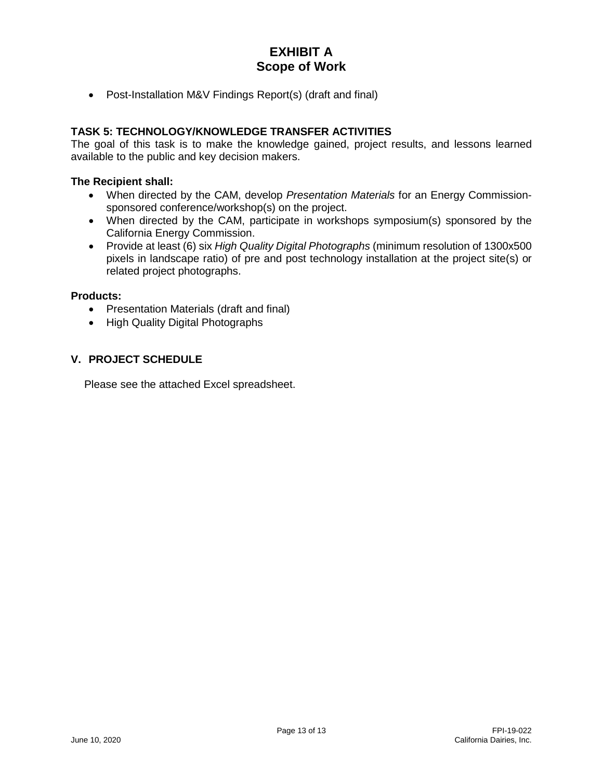• Post-Installation M&V Findings Report(s) (draft and final)

# **TASK 5: TECHNOLOGY/KNOWLEDGE TRANSFER ACTIVITIES**

The goal of this task is to make the knowledge gained, project results, and lessons learned available to the public and key decision makers.

#### **The Recipient shall:**

- When directed by the CAM, develop *Presentation Materials* for an Energy Commissionsponsored conference/workshop(s) on the project.
- When directed by the CAM, participate in workshops symposium(s) sponsored by the California Energy Commission.
- Provide at least (6) six *High Quality Digital Photographs* (minimum resolution of 1300x500 pixels in landscape ratio) of pre and post technology installation at the project site(s) or related project photographs.

#### **Products:**

- Presentation Materials (draft and final)
- High Quality Digital Photographs

# **V. PROJECT SCHEDULE**

Please see the attached Excel spreadsheet.